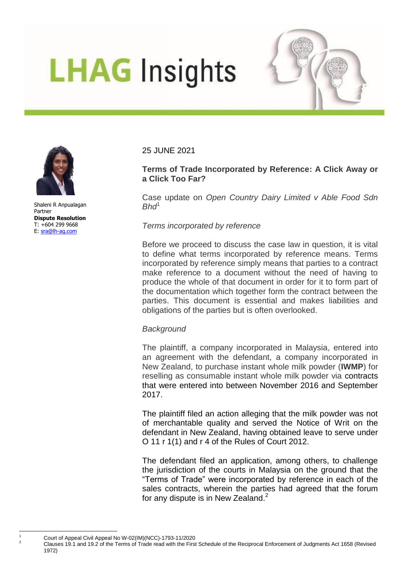# **LHAG Insights**



Shaleni R Anpualagan Partner **Dispute Resolution** T: +604 299 9668 E: [sra@lh-ag.com](mailto:sra@lh-ag.com)

25 JUNE 2021

## **Terms of Trade Incorporated by Reference: A Click Away or a Click Too Far?**

Case update on *Open Country Dairy Limited v Able Food Sdn Bhd*<sup>1</sup>

#### *Terms incorporated by reference*

Before we proceed to discuss the case law in question, it is vital to define what terms incorporated by reference means. Terms incorporated by reference simply means that parties to a contract make reference to a document without the need of having to produce the whole of that document in order for it to form part of the documentation which together form the contract between the parties. This document is essential and makes liabilities and obligations of the parties but is often overlooked.

#### *Background*

The plaintiff, a company incorporated in Malaysia, entered into an agreement with the defendant, a company incorporated in New Zealand, to purchase instant whole milk powder (**IWMP**) for reselling as consumable instant whole milk powder via contracts that were entered into between November 2016 and September 2017.

The plaintiff filed an action alleging that the milk powder was not of merchantable quality and served the Notice of Writ on the defendant in New Zealand, having obtained leave to serve under O 11 r 1(1) and r 4 of the Rules of Court 2012.

The defendant filed an application, among others, to challenge the jurisdiction of the courts in Malaysia on the ground that the "Terms of Trade" were incorporated by reference in each of the sales contracts, wherein the parties had agreed that the forum for any dispute is in New Zealand.<sup>2</sup>

 $\frac{1}{2}$  Court of Appeal Civil Appeal No W-02(IM)(NCC)-1793-11/2020

 $\overline{1}$ 

<sup>2</sup> Clauses 19.1 and 19.2 of the Terms of Trade read with the First Schedule of the Reciprocal Enforcement of Judgments Act 1658 (Revised 1972)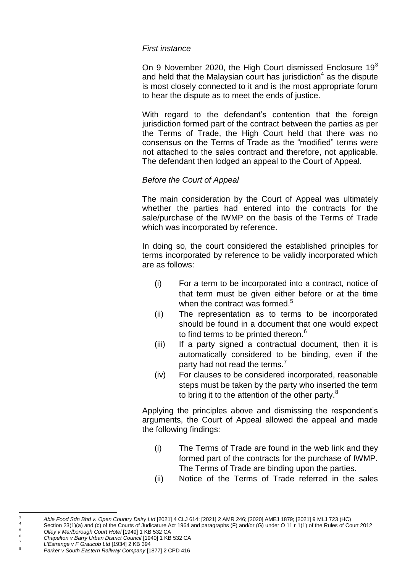#### *First instance*

On 9 November 2020, the High Court dismissed Enclosure  $19<sup>3</sup>$ and held that the Malaysian court has jurisdiction $4$  as the dispute is most closely connected to it and is the most appropriate forum to hear the dispute as to meet the ends of justice.

With regard to the defendant's contention that the foreign jurisdiction formed part of the contract between the parties as per the Terms of Trade, the High Court held that there was no consensus on the Terms of Trade as the "modified" terms were not attached to the sales contract and therefore, not applicable. The defendant then lodged an appeal to the Court of Appeal.

### *Before the Court of Appeal*

The main consideration by the Court of Appeal was ultimately whether the parties had entered into the contracts for the sale/purchase of the IWMP on the basis of the Terms of Trade which was incorporated by reference.

In doing so, the court considered the established principles for terms incorporated by reference to be validly incorporated which are as follows:

- (i) For a term to be incorporated into a contract, notice of that term must be given either before or at the time when the contract was formed.<sup>5</sup>
- (ii) The representation as to terms to be incorporated should be found in a document that one would expect to find terms to be printed thereon.<sup>6</sup>
- (iii) If a party signed a contractual document, then it is automatically considered to be binding, even if the party had not read the terms.<sup>7</sup>
- (iv) For clauses to be considered incorporated, reasonable steps must be taken by the party who inserted the term to bring it to the attention of the other party.<sup>8</sup>

Applying the principles above and dismissing the respondent's arguments, the Court of Appeal allowed the appeal and made the following findings:

- (i) The Terms of Trade are found in the web link and they formed part of the contracts for the purchase of IWMP. The Terms of Trade are binding upon the parties.
- (ii) Notice of the Terms of Trade referred in the sales

 $\overline{a}$ 

<sup>3</sup> *Able Food Sdn Bhd v. Open Country Dairy Ltd* [2021] 4 CLJ 614; [2021] 2 AMR 246; [2020] AMEJ 1879; [2021] 9 MLJ 723 (HC)

Section 23(1)(a) and (c) of the Courts of Judicature Act 1964 and paragraphs (F) and/or (G) under O 11 r 1(1) of the Rules of Court 2012 <sup>5</sup> *Olley v Marlborough Court Hotel* [1949] 1 KB 532 CA

<sup>6</sup> *Chapelton v Barry Urban District Council* [1940] 1 KB 532 CA

<sup>7</sup> *L'Estrange v F Graucob Ltd* [1934] 2 KB 394

<sup>8</sup> *Parker v South Eastern Railway Company* [1877] 2 CPD 416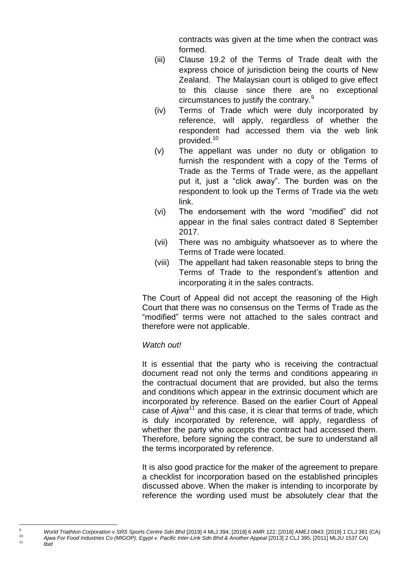contracts was given at the time when the contract was formed.

- (iii) Clause 19.2 of the Terms of Trade dealt with the express choice of jurisdiction being the courts of New Zealand. The Malaysian court is obliged to give effect to this clause since there are no exceptional circumstances to justify the contrary.<sup>9</sup>
- (iv) Terms of Trade which were duly incorporated by reference, will apply, regardless of whether the respondent had accessed them via the web link provided.<sup>10</sup>
- (v) The appellant was under no duty or obligation to furnish the respondent with a copy of the Terms of Trade as the Terms of Trade were, as the appellant put it, just a "click away". The burden was on the respondent to look up the Terms of Trade via the web link.
- (vi) The endorsement with the word "modified" did not appear in the final sales contract dated 8 September 2017.
- (vii) There was no ambiguity whatsoever as to where the Terms of Trade were located.
- (viii) The appellant had taken reasonable steps to bring the Terms of Trade to the respondent's attention and incorporating it in the sales contracts.

The Court of Appeal did not accept the reasoning of the High Court that there was no consensus on the Terms of Trade as the "modified" terms were not attached to the sales contract and therefore were not applicable.

## *Watch out!*

 $\overline{a}$ 

It is essential that the party who is receiving the contractual document read not only the terms and conditions appearing in the contractual document that are provided, but also the terms and conditions which appear in the extrinsic document which are incorporated by reference. Based on the earlier Court of Appeal case of *Ajwa*<sup>11</sup> and this case, it is clear that terms of trade, which is duly incorporated by reference, will apply, regardless of whether the party who accepts the contract had accessed them. Therefore, before signing the contract, be sure to understand all the terms incorporated by reference.

It is also good practice for the maker of the agreement to prepare a checklist for incorporation based on the established principles discussed above. When the maker is intending to incorporate by reference the wording used must be absolutely clear that the